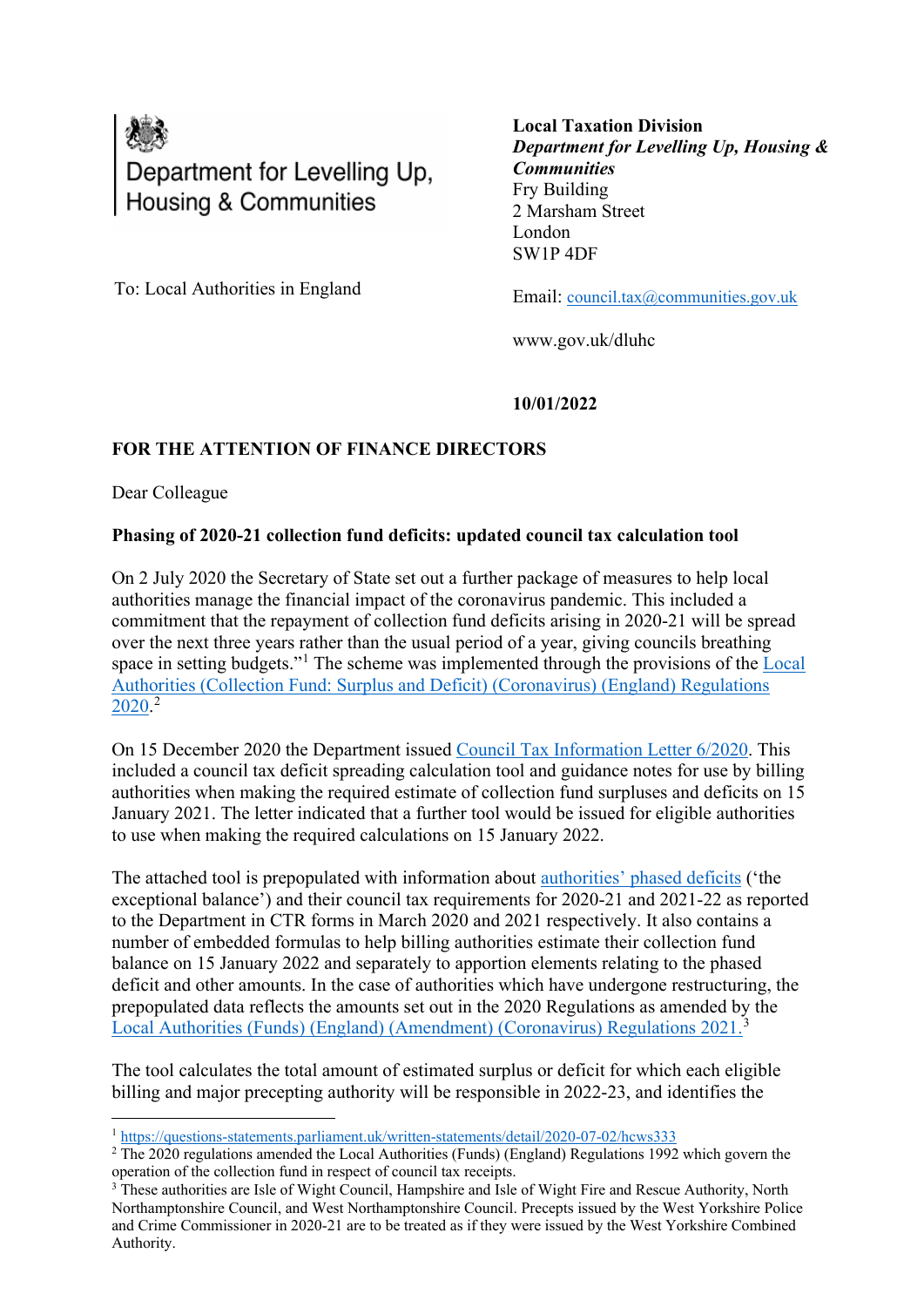

**Local Taxation Division** *Department for Levelling Up, Housing & Communities* Fry Building 2 Marsham Street London SW1P 4DF

To: Local Authorities in England

Email: [council.tax@communities.gov.uk](mailto:council.tax@communities.gov.uk)

www.gov.uk/dluhc

**10/01/2022**

## **FOR THE ATTENTION OF FINANCE DIRECTORS**

Dear Colleague

## **Phasing of 2020-21 collection fund deficits: updated council tax calculation tool**

On 2 July 2020 the Secretary of State set out a further package of measures to help local authorities manage the financial impact of the coronavirus pandemic. This included a commitment that the repayment of collection fund deficits arising in 2020-21 will be spread over the next three years rather than the usual period of a year, giving councils breathing space in setting budgets."<sup>[1](#page-0-0)</sup> The scheme was implemented through the provisions of the Local [Authorities \(Collection Fund: Surplus and Deficit\) \(Coronavirus\) \(England\) Regulations](https://www.legislation.gov.uk/uksi/2020/1202/contents/made)   $2020.<sup>2</sup>$  $2020.<sup>2</sup>$  $2020.<sup>2</sup>$  $2020.<sup>2</sup>$ 

On 15 December 2020 the Department issued [Council Tax Information Letter](https://www.gov.uk/government/publications/62020-council-tax-information-letter-15-december-2020) 6/2020. This included a council tax deficit spreading calculation tool and guidance notes for use by billing authorities when making the required estimate of collection fund surpluses and deficits on 15 January 2021. The letter indicated that a further tool would be issued for eligible authorities to use when making the required calculations on 15 January 2022.

The attached tool is prepopulated with information about [authorities' phased deficits](https://www.gov.uk/government/statistics/estimated-collection-fund-deficit-relating-to-council-tax-in-2020-21) ('the exceptional balance') and their council tax requirements for 2020-21 and 2021-22 as reported to the Department in CTR forms in March 2020 and 2021 respectively. It also contains a number of embedded formulas to help billing authorities estimate their collection fund balance on 15 January 2022 and separately to apportion elements relating to the phased deficit and other amounts. In the case of authorities which have undergone restructuring, the prepopulated data reflects the amounts set out in the 2020 Regulations as amended by the [Local Authorities \(Funds\) \(England\) \(Amendment\) \(Coronavirus\) Regulations 2021.](https://www.legislation.gov.uk/uksi/2021/1343/contents/made)[3](#page-0-2)

The tool calculates the total amount of estimated surplus or deficit for which each eligible billing and major precepting authority will be responsible in 2022-23, and identifies the

<span id="page-0-0"></span><sup>1</sup> <https://questions-statements.parliament.uk/written-statements/detail/2020-07-02/hcws333>

<span id="page-0-1"></span> $2$  The 2020 regulations amended the Local Authorities (Funds) (England) Regulations 1992 which govern the operation of the collection fund in respect of council tax receipts.

<span id="page-0-2"></span><sup>&</sup>lt;sup>3</sup> These authorities are Isle of Wight Council, Hampshire and Isle of Wight Fire and Rescue Authority, North Northamptonshire Council, and West Northamptonshire Council. Precepts issued by the West Yorkshire Police and Crime Commissioner in 2020-21 are to be treated as if they were issued by the West Yorkshire Combined Authority.